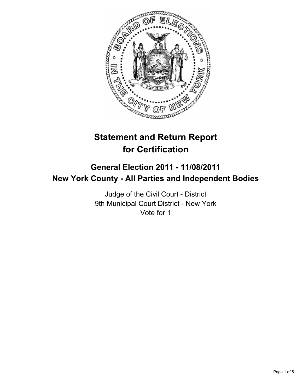

# **Statement and Return Report for Certification**

## **General Election 2011 - 11/08/2011 New York County - All Parties and Independent Bodies**

Judge of the Civil Court - District 9th Municipal Court District - New York Vote for 1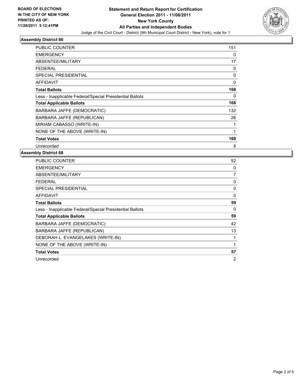

## **Assembly District 66**

| PUBLIC COUNTER                                           | 151 |
|----------------------------------------------------------|-----|
| <b>EMERGENCY</b>                                         | 0   |
| ABSENTEE/MILITARY                                        | 17  |
| <b>FEDERAL</b>                                           | 0   |
| <b>SPECIAL PRESIDENTIAL</b>                              | 0   |
| <b>AFFIDAVIT</b>                                         | 0   |
| <b>Total Ballots</b>                                     | 168 |
| Less - Inapplicable Federal/Special Presidential Ballots | 0   |
| <b>Total Applicable Ballots</b>                          | 168 |
| BARBARA JAFFE (DEMOCRATIC)                               | 132 |
| BARBARA JAFFE (REPUBLICAN)                               | 26  |
| MIRIAM CABASSO (WRITE-IN)                                | 1   |
| NONE OF THE ABOVE (WRITE-IN)                             | 1   |
| <b>Total Votes</b>                                       | 160 |
| Unrecorded                                               | 8   |

#### **Assembly District 68**

| <b>PUBLIC COUNTER</b>                                    | 52             |
|----------------------------------------------------------|----------------|
| <b>EMERGENCY</b>                                         | 0              |
| ABSENTEE/MILITARY                                        | 7              |
| <b>FEDERAL</b>                                           | 0              |
| SPECIAL PRESIDENTIAL                                     | 0              |
| <b>AFFIDAVIT</b>                                         | 0              |
| <b>Total Ballots</b>                                     | 59             |
| Less - Inapplicable Federal/Special Presidential Ballots | $\Omega$       |
| <b>Total Applicable Ballots</b>                          | 59             |
| BARBARA JAFFE (DEMOCRATIC)                               | 42             |
| BARBARA JAFFE (REPUBLICAN)                               | 13             |
| DEBORAH L. EVANGELAKES (WRITE-IN)                        | 1              |
| NONE OF THE ABOVE (WRITE-IN)                             | 1              |
| <b>Total Votes</b>                                       | 57             |
| Unrecorded                                               | $\overline{2}$ |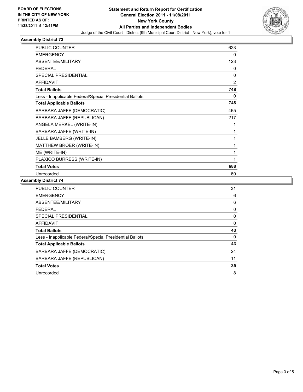

#### **Assembly District 73**

| <b>PUBLIC COUNTER</b>                                    | 623            |
|----------------------------------------------------------|----------------|
| <b>EMERGENCY</b>                                         | 0              |
| <b>ABSENTEE/MILITARY</b>                                 | 123            |
| <b>FEDERAL</b>                                           | 0              |
| <b>SPECIAL PRESIDENTIAL</b>                              | $\mathbf{0}$   |
| <b>AFFIDAVIT</b>                                         | $\overline{2}$ |
| <b>Total Ballots</b>                                     | 748            |
| Less - Inapplicable Federal/Special Presidential Ballots | 0              |
| <b>Total Applicable Ballots</b>                          | 748            |
| BARBARA JAFFE (DEMOCRATIC)                               | 465            |
| BARBARA JAFFE (REPUBLICAN)                               | 217            |
| ANGELA MERKEL (WRITE-IN)                                 | 1              |
| BARBARA JAFFE (WRITE-IN)                                 | 1              |
| JELLE BAMBERG (WRITE-IN)                                 | 1              |
| MATTHEW BROER (WRITE-IN)                                 | 1              |
| ME (WRITE-IN)                                            | 1              |
| PLAXICO BURRESS (WRITE-IN)                               | 1              |
| <b>Total Votes</b>                                       | 688            |
| Unrecorded                                               | 60             |

#### **Assembly District 74**

| <b>PUBLIC COUNTER</b>                                    | 31 |
|----------------------------------------------------------|----|
| <b>EMERGENCY</b>                                         | 6  |
| ABSENTEE/MILITARY                                        | 6  |
| <b>FEDERAL</b>                                           | 0  |
| SPECIAL PRESIDENTIAL                                     | 0  |
| AFFIDAVIT                                                | 0  |
| <b>Total Ballots</b>                                     | 43 |
| Less - Inapplicable Federal/Special Presidential Ballots | 0  |
| <b>Total Applicable Ballots</b>                          | 43 |
| BARBARA JAFFE (DEMOCRATIC)                               | 24 |
| BARBARA JAFFE (REPUBLICAN)                               | 11 |
| <b>Total Votes</b>                                       | 35 |
| Unrecorded                                               | 8  |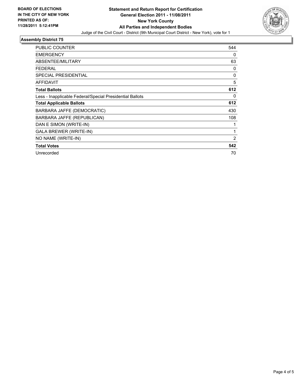

## **Assembly District 75**

| <b>PUBLIC COUNTER</b>                                    | 544 |
|----------------------------------------------------------|-----|
|                                                          |     |
| <b>EMERGENCY</b>                                         | 0   |
| ABSENTEE/MILITARY                                        | 63  |
| <b>FEDERAL</b>                                           | 0   |
| SPECIAL PRESIDENTIAL                                     | 0   |
| <b>AFFIDAVIT</b>                                         | 5   |
| <b>Total Ballots</b>                                     | 612 |
| Less - Inapplicable Federal/Special Presidential Ballots | 0   |
| <b>Total Applicable Ballots</b>                          | 612 |
| BARBARA JAFFE (DEMOCRATIC)                               | 430 |
| BARBARA JAFFE (REPUBLICAN)                               | 108 |
| DAN E SIMON (WRITE-IN)                                   |     |
| <b>GALA BREWER (WRITE-IN)</b>                            | 1   |
| NO NAME (WRITE-IN)                                       | 2   |
| <b>Total Votes</b>                                       | 542 |
| Unrecorded                                               | 70  |